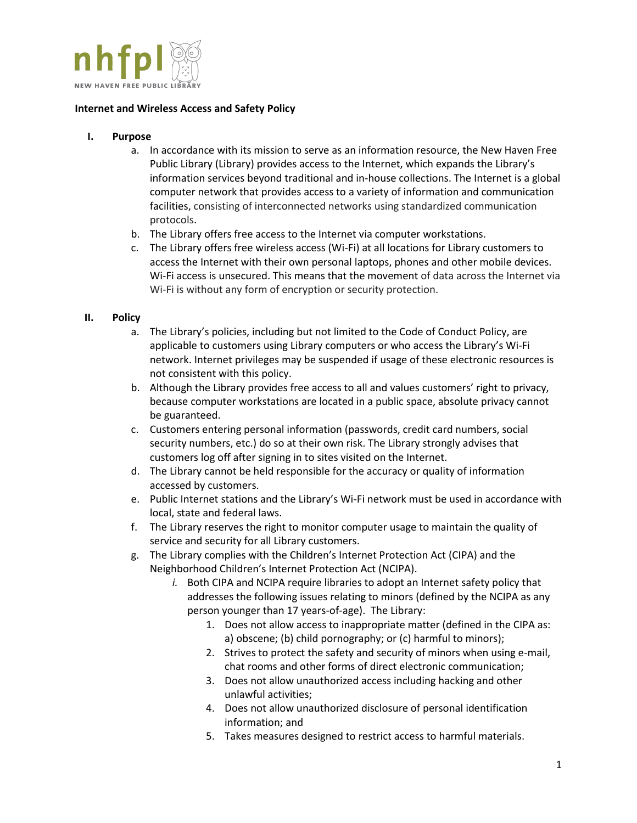

## **Internet and Wireless Access and Safety Policy**

## **I. Purpose**

- a. In accordance with its mission to serve as an information resource, the New Haven Free Public Library (Library) provides access to the Internet, which expands the Library's information services beyond traditional and in-house collections. The Internet is a global computer network that provides access to a variety of information and communication facilities, consisting of interconnected networks using standardized communication protocols.
- b. The Library offers free access to the Internet via computer workstations.
- c. The Library offers free wireless access (Wi-Fi) at all locations for Library customers to access the Internet with their own personal laptops, phones and other mobile devices. Wi-Fi access is unsecured. This means that the movement of data across the Internet via Wi-Fi is without any form of encryption or security protection.

## **II. Policy**

- a. The Library's policies, including but not limited to the Code of Conduct Policy, are applicable to customers using Library computers or who access the Library's Wi-Fi network. Internet privileges may be suspended if usage of these electronic resources is not consistent with this policy.
- b. Although the Library provides free access to all and values customers' right to privacy, because computer workstations are located in a public space, absolute privacy cannot be guaranteed.
- c. Customers entering personal information (passwords, credit card numbers, social security numbers, etc.) do so at their own risk. The Library strongly advises that customers log off after signing in to sites visited on the Internet.
- d. The Library cannot be held responsible for the accuracy or quality of information accessed by customers.
- e. Public Internet stations and the Library's Wi-Fi network must be used in accordance with local, state and federal laws.
- f. The Library reserves the right to monitor computer usage to maintain the quality of service and security for all Library customers.
- g. The Library complies with the Children's Internet Protection Act (CIPA) and the Neighborhood Children's Internet Protection Act (NCIPA).
	- *i.* Both CIPA and NCIPA require libraries to adopt an Internet safety policy that addresses the following issues relating to minors (defined by the NCIPA as any person younger than 17 years-of-age). The Library:
		- 1. Does not allow access to inappropriate matter (defined in the CIPA as: a) obscene; (b) child pornography; or (c) harmful to minors);
		- 2. Strives to protect the safety and security of minors when using e-mail, chat rooms and other forms of direct electronic communication;
		- 3. Does not allow unauthorized access including hacking and other unlawful activities;
		- 4. Does not allow unauthorized disclosure of personal identification information; and
		- 5. Takes measures designed to restrict access to harmful materials.